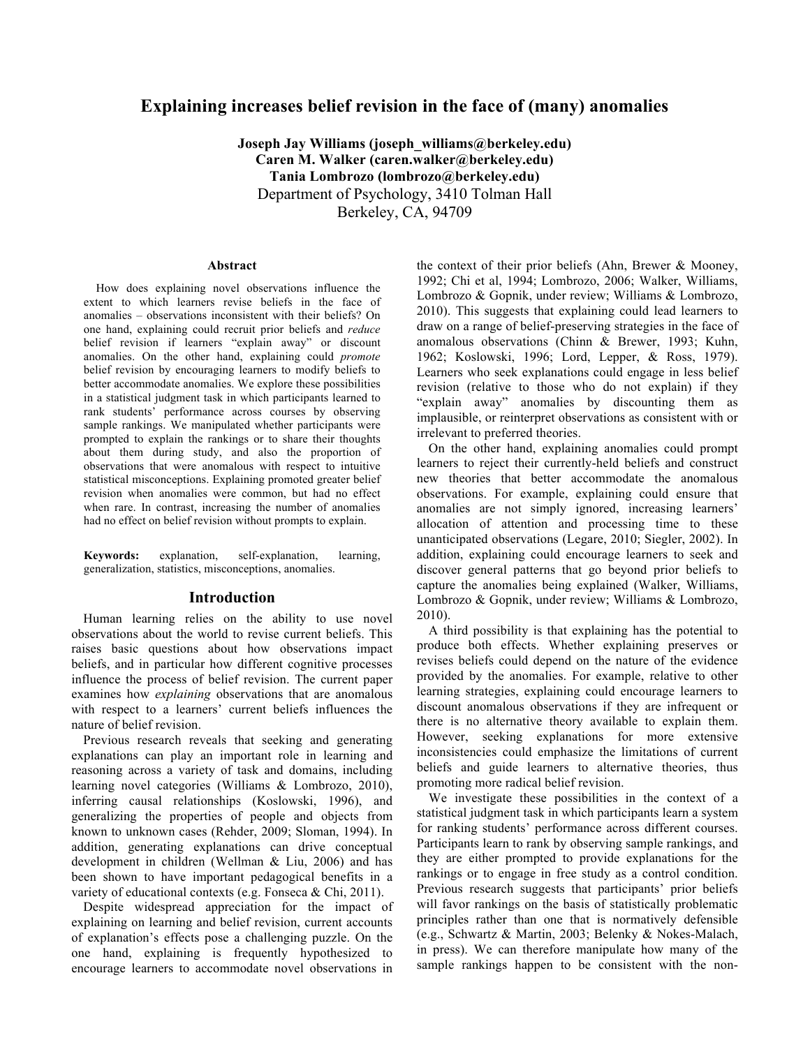# **Explaining increases belief revision in the face of (many) anomalies**

**Joseph Jay Williams (joseph\_williams@berkeley.edu) Caren M. Walker (caren.walker@berkeley.edu) Tania Lombrozo (lombrozo@berkeley.edu)**  Department of Psychology, 3410 Tolman Hall Berkeley, CA, 94709

#### **Abstract**

How does explaining novel observations influence the extent to which learners revise beliefs in the face of anomalies – observations inconsistent with their beliefs? On one hand, explaining could recruit prior beliefs and *reduce*  belief revision if learners "explain away" or discount anomalies. On the other hand, explaining could *promote*  belief revision by encouraging learners to modify beliefs to better accommodate anomalies. We explore these possibilities in a statistical judgment task in which participants learned to rank students' performance across courses by observing sample rankings. We manipulated whether participants were prompted to explain the rankings or to share their thoughts about them during study, and also the proportion of observations that were anomalous with respect to intuitive statistical misconceptions. Explaining promoted greater belief revision when anomalies were common, but had no effect when rare. In contrast, increasing the number of anomalies had no effect on belief revision without prompts to explain.

**Keywords:** explanation, self-explanation, learning, generalization, statistics, misconceptions, anomalies.

# **Introduction**

Human learning relies on the ability to use novel observations about the world to revise current beliefs. This raises basic questions about how observations impact beliefs, and in particular how different cognitive processes influence the process of belief revision. The current paper examines how *explaining* observations that are anomalous with respect to a learners' current beliefs influences the nature of belief revision.

Previous research reveals that seeking and generating explanations can play an important role in learning and reasoning across a variety of task and domains, including learning novel categories (Williams & Lombrozo, 2010), inferring causal relationships (Koslowski, 1996), and generalizing the properties of people and objects from known to unknown cases (Rehder, 2009; Sloman, 1994). In addition, generating explanations can drive conceptual development in children (Wellman & Liu, 2006) and has been shown to have important pedagogical benefits in a variety of educational contexts (e.g. Fonseca & Chi, 2011).

Despite widespread appreciation for the impact of explaining on learning and belief revision, current accounts of explanation's effects pose a challenging puzzle. On the one hand, explaining is frequently hypothesized to encourage learners to accommodate novel observations in

the context of their prior beliefs (Ahn, Brewer & Mooney, 1992; Chi et al, 1994; Lombrozo, 2006; Walker, Williams, Lombrozo & Gopnik, under review; Williams & Lombrozo, 2010). This suggests that explaining could lead learners to draw on a range of belief-preserving strategies in the face of anomalous observations (Chinn & Brewer, 1993; Kuhn, 1962; Koslowski, 1996; Lord, Lepper, & Ross, 1979). Learners who seek explanations could engage in less belief revision (relative to those who do not explain) if they "explain away" anomalies by discounting them as implausible, or reinterpret observations as consistent with or irrelevant to preferred theories.

On the other hand, explaining anomalies could prompt learners to reject their currently-held beliefs and construct new theories that better accommodate the anomalous observations. For example, explaining could ensure that anomalies are not simply ignored, increasing learners' allocation of attention and processing time to these unanticipated observations (Legare, 2010; Siegler, 2002). In addition, explaining could encourage learners to seek and discover general patterns that go beyond prior beliefs to capture the anomalies being explained (Walker, Williams, Lombrozo & Gopnik, under review; Williams & Lombrozo, 2010).

A third possibility is that explaining has the potential to produce both effects. Whether explaining preserves or revises beliefs could depend on the nature of the evidence provided by the anomalies. For example, relative to other learning strategies, explaining could encourage learners to discount anomalous observations if they are infrequent or there is no alternative theory available to explain them. However, seeking explanations for more extensive inconsistencies could emphasize the limitations of current beliefs and guide learners to alternative theories, thus promoting more radical belief revision.

We investigate these possibilities in the context of a statistical judgment task in which participants learn a system for ranking students' performance across different courses. Participants learn to rank by observing sample rankings, and they are either prompted to provide explanations for the rankings or to engage in free study as a control condition. Previous research suggests that participants' prior beliefs will favor rankings on the basis of statistically problematic principles rather than one that is normatively defensible (e.g., Schwartz & Martin, 2003; Belenky & Nokes-Malach, in press). We can therefore manipulate how many of the sample rankings happen to be consistent with the non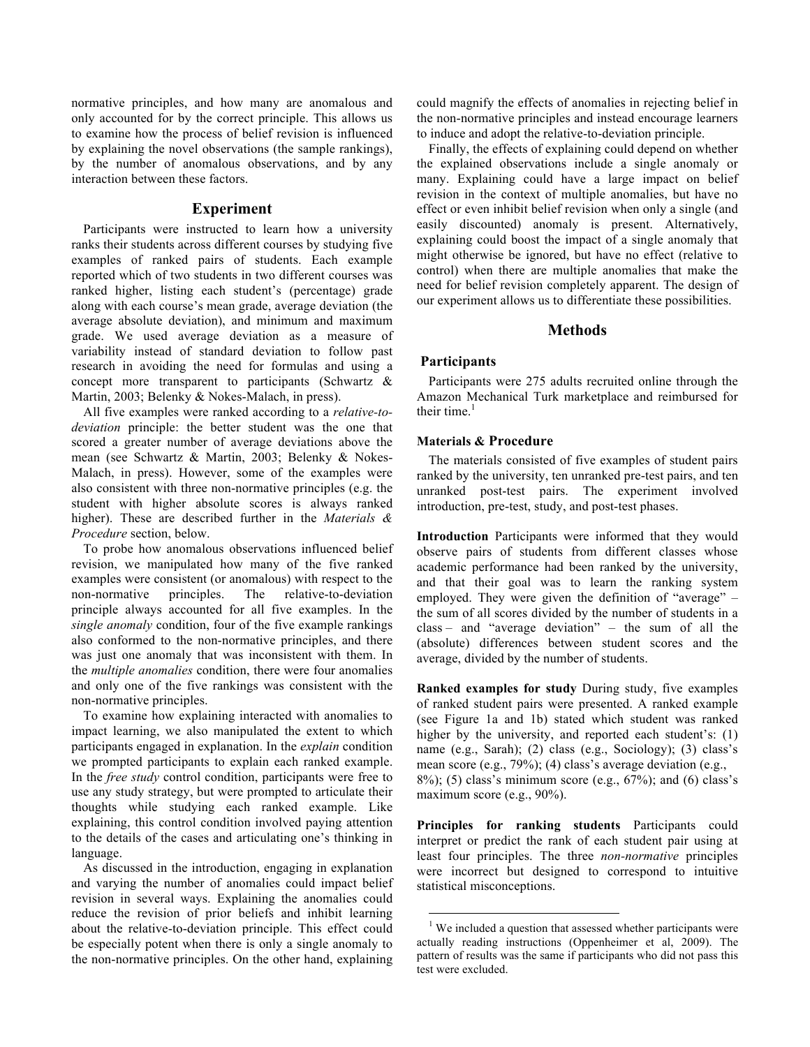normative principles, and how many are anomalous and only accounted for by the correct principle. This allows us to examine how the process of belief revision is influenced by explaining the novel observations (the sample rankings), by the number of anomalous observations, and by any interaction between these factors.

### **Experiment**

Participants were instructed to learn how a university ranks their students across different courses by studying five examples of ranked pairs of students. Each example reported which of two students in two different courses was ranked higher, listing each student's (percentage) grade along with each course's mean grade, average deviation (the average absolute deviation), and minimum and maximum grade. We used average deviation as a measure of variability instead of standard deviation to follow past research in avoiding the need for formulas and using a concept more transparent to participants (Schwartz & Martin, 2003; Belenky & Nokes-Malach, in press).

All five examples were ranked according to a *relative-todeviation* principle: the better student was the one that scored a greater number of average deviations above the mean (see Schwartz & Martin, 2003; Belenky & Nokes-Malach, in press). However, some of the examples were also consistent with three non-normative principles (e.g. the student with higher absolute scores is always ranked higher). These are described further in the *Materials & Procedure* section, below.

To probe how anomalous observations influenced belief revision, we manipulated how many of the five ranked examples were consistent (or anomalous) with respect to the non-normative principles. The relative-to-deviation principle always accounted for all five examples. In the *single anomaly* condition, four of the five example rankings also conformed to the non-normative principles, and there was just one anomaly that was inconsistent with them. In the *multiple anomalies* condition, there were four anomalies and only one of the five rankings was consistent with the non-normative principles.

To examine how explaining interacted with anomalies to impact learning, we also manipulated the extent to which participants engaged in explanation. In the *explain* condition we prompted participants to explain each ranked example. In the *free study* control condition, participants were free to use any study strategy, but were prompted to articulate their thoughts while studying each ranked example. Like explaining, this control condition involved paying attention to the details of the cases and articulating one's thinking in language.

As discussed in the introduction, engaging in explanation and varying the number of anomalies could impact belief revision in several ways. Explaining the anomalies could reduce the revision of prior beliefs and inhibit learning about the relative-to-deviation principle. This effect could be especially potent when there is only a single anomaly to the non-normative principles. On the other hand, explaining

could magnify the effects of anomalies in rejecting belief in the non-normative principles and instead encourage learners to induce and adopt the relative-to-deviation principle.

Finally, the effects of explaining could depend on whether the explained observations include a single anomaly or many. Explaining could have a large impact on belief revision in the context of multiple anomalies, but have no effect or even inhibit belief revision when only a single (and easily discounted) anomaly is present. Alternatively, explaining could boost the impact of a single anomaly that might otherwise be ignored, but have no effect (relative to control) when there are multiple anomalies that make the need for belief revision completely apparent. The design of our experiment allows us to differentiate these possibilities.

### **Methods**

# **Participants**

 $\overline{a}$ 

Participants were 275 adults recruited online through the Amazon Mechanical Turk marketplace and reimbursed for their time. $<sup>1</sup>$ </sup>

### **Materials & Procedure**

The materials consisted of five examples of student pairs ranked by the university, ten unranked pre-test pairs, and ten unranked post-test pairs. The experiment involved introduction, pre-test, study, and post-test phases.

**Introduction** Participants were informed that they would observe pairs of students from different classes whose academic performance had been ranked by the university, and that their goal was to learn the ranking system employed. They were given the definition of "average" – the sum of all scores divided by the number of students in a class – and "average deviation" – the sum of all the (absolute) differences between student scores and the average, divided by the number of students.

**Ranked examples for study** During study, five examples of ranked student pairs were presented. A ranked example (see Figure 1a and 1b) stated which student was ranked higher by the university, and reported each student's: (1) name (e.g., Sarah); (2) class (e.g., Sociology); (3) class's mean score (e.g., 79%); (4) class's average deviation (e.g.,  $8\%$ ; (5) class's minimum score (e.g.,  $67\%$ ); and (6) class's maximum score (e.g., 90%).

**Principles for ranking students** Participants could interpret or predict the rank of each student pair using at least four principles. The three *non-normative* principles were incorrect but designed to correspond to intuitive statistical misconceptions.

<sup>&</sup>lt;sup>1</sup> We included a question that assessed whether participants were actually reading instructions (Oppenheimer et al, 2009). The pattern of results was the same if participants who did not pass this test were excluded.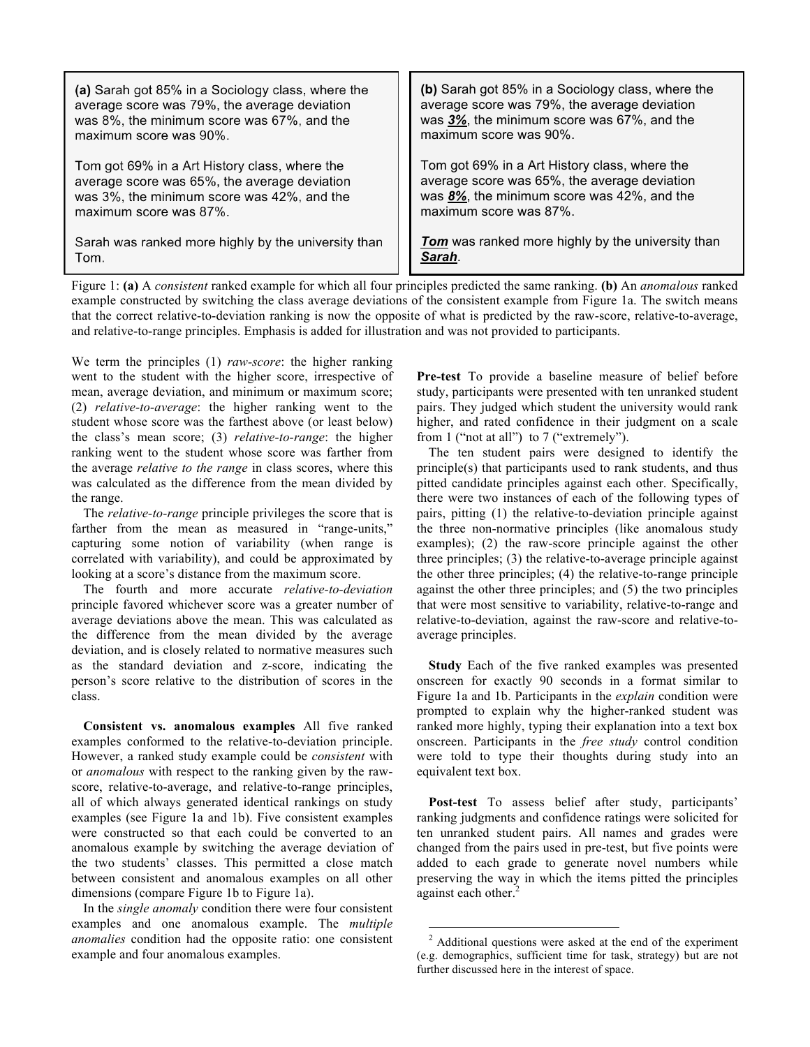| (a) Sarah got 85% in a Sociology class, where the<br>average score was 79%, the average deviation<br>was 8%, the minimum score was 67%, and the<br>maximum score was 90%. | (b) Sarah got 85% in a Sociology class, where the<br>average score was 79%, the average deviation<br>was 3%, the minimum score was 67%, and the<br>maximum score was 90%. |
|---------------------------------------------------------------------------------------------------------------------------------------------------------------------------|---------------------------------------------------------------------------------------------------------------------------------------------------------------------------|
| Tom got 69% in a Art History class, where the<br>average score was 65%, the average deviation<br>was 3%, the minimum score was 42%, and the<br>maximum score was 87%.     | Tom got 69% in a Art History class, where the<br>average score was 65%, the average deviation<br>was 8%, the minimum score was 42%, and the<br>maximum score was 87%.     |
| Sarah was ranked more highly by the university than<br>Tom.                                                                                                               | <b>Tom</b> was ranked more highly by the university than<br>Sarah                                                                                                         |

Figure 1: **(a)** A *consistent* ranked example for which all four principles predicted the same ranking. **(b)** An *anomalous* ranked example constructed by switching the class average deviations of the consistent example from Figure 1a. The switch means that the correct relative-to-deviation ranking is now the opposite of what is predicted by the raw-score, relative-to-average, and relative-to-range principles. Emphasis is added for illustration and was not provided to participants.

 $\overline{a}$ 

We term the principles (1) *raw-score*: the higher ranking went to the student with the higher score, irrespective of mean, average deviation, and minimum or maximum score; (2) *relative-to-average*: the higher ranking went to the student whose score was the farthest above (or least below) the class's mean score; (3) *relative-to-range*: the higher ranking went to the student whose score was farther from the average *relative to the range* in class scores, where this was calculated as the difference from the mean divided by the range.

The *relative-to-range* principle privileges the score that is farther from the mean as measured in "range-units," capturing some notion of variability (when range is correlated with variability), and could be approximated by looking at a score's distance from the maximum score.

The fourth and more accurate *relative-to-deviation* principle favored whichever score was a greater number of average deviations above the mean. This was calculated as the difference from the mean divided by the average deviation, and is closely related to normative measures such as the standard deviation and z-score, indicating the person's score relative to the distribution of scores in the class.

**Consistent vs. anomalous examples** All five ranked examples conformed to the relative-to-deviation principle. However, a ranked study example could be *consistent* with or *anomalous* with respect to the ranking given by the rawscore, relative-to-average, and relative-to-range principles, all of which always generated identical rankings on study examples (see Figure 1a and 1b). Five consistent examples were constructed so that each could be converted to an anomalous example by switching the average deviation of the two students' classes. This permitted a close match between consistent and anomalous examples on all other dimensions (compare Figure 1b to Figure 1a).

In the *single anomaly* condition there were four consistent examples and one anomalous example. The *multiple anomalies* condition had the opposite ratio: one consistent example and four anomalous examples.

**Pre-test** To provide a baseline measure of belief before study, participants were presented with ten unranked student pairs. They judged which student the university would rank higher, and rated confidence in their judgment on a scale from 1 ("not at all") to 7 ("extremely").

The ten student pairs were designed to identify the principle(s) that participants used to rank students, and thus pitted candidate principles against each other. Specifically, there were two instances of each of the following types of pairs, pitting (1) the relative-to-deviation principle against the three non-normative principles (like anomalous study examples); (2) the raw-score principle against the other three principles; (3) the relative-to-average principle against the other three principles; (4) the relative-to-range principle against the other three principles; and (5) the two principles that were most sensitive to variability, relative-to-range and relative-to-deviation, against the raw-score and relative-toaverage principles.

**Study** Each of the five ranked examples was presented onscreen for exactly 90 seconds in a format similar to Figure 1a and 1b. Participants in the *explain* condition were prompted to explain why the higher-ranked student was ranked more highly, typing their explanation into a text box onscreen. Participants in the *free study* control condition were told to type their thoughts during study into an equivalent text box.

**Post-test** To assess belief after study, participants' ranking judgments and confidence ratings were solicited for ten unranked student pairs. All names and grades were changed from the pairs used in pre-test, but five points were added to each grade to generate novel numbers while preserving the way in which the items pitted the principles against each other.<sup>2</sup>

 $2$  Additional questions were asked at the end of the experiment (e.g. demographics, sufficient time for task, strategy) but are not further discussed here in the interest of space.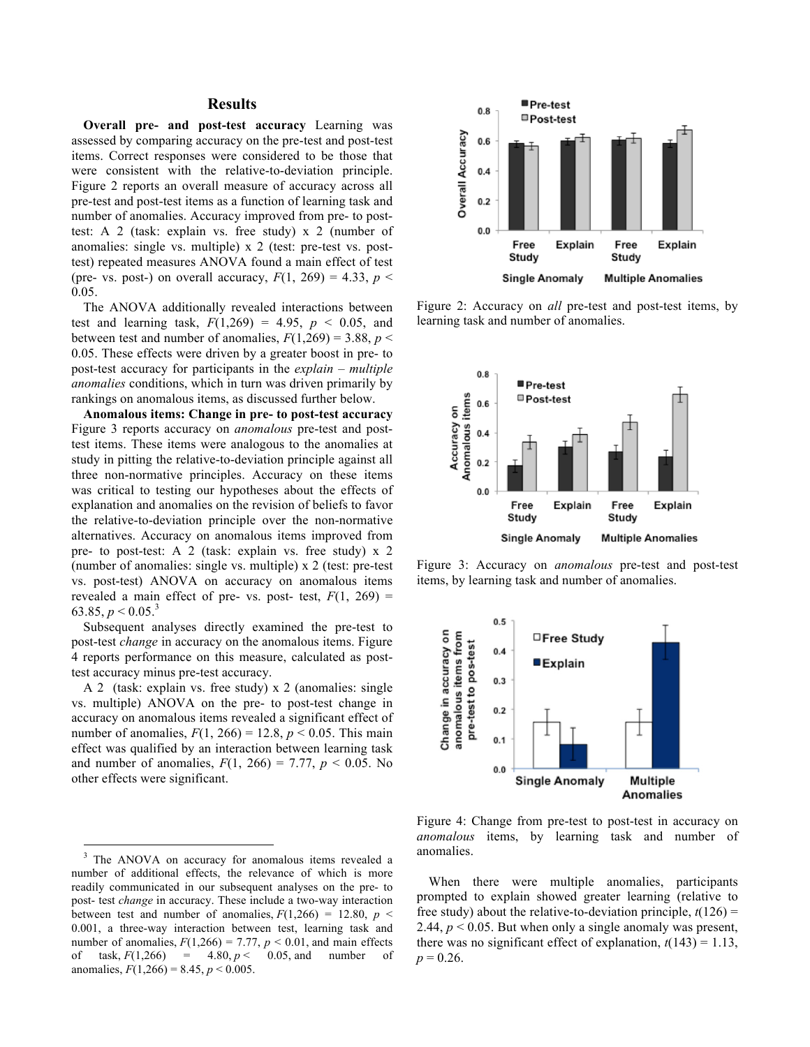# **Results**

**Overall pre- and post-test accuracy** Learning was assessed by comparing accuracy on the pre-test and post-test items. Correct responses were considered to be those that were consistent with the relative-to-deviation principle. Figure 2 reports an overall measure of accuracy across all pre-test and post-test items as a function of learning task and number of anomalies. Accuracy improved from pre- to posttest: A 2 (task: explain vs. free study) x 2 (number of anomalies: single vs. multiple) x 2 (test: pre-test vs. posttest) repeated measures ANOVA found a main effect of test (pre- vs. post-) on overall accuracy,  $F(1, 269) = 4.33$ ,  $p <$ 0.05.

The ANOVA additionally revealed interactions between test and learning task,  $F(1,269) = 4.95$ ,  $p < 0.05$ , and between test and number of anomalies,  $F(1,269) = 3.88$ ,  $p <$ 0.05. These effects were driven by a greater boost in pre- to post-test accuracy for participants in the *explain* – *multiple anomalies* conditions, which in turn was driven primarily by rankings on anomalous items, as discussed further below.

**Anomalous items: Change in pre- to post-test accuracy**  Figure 3 reports accuracy on *anomalous* pre-test and posttest items. These items were analogous to the anomalies at study in pitting the relative-to-deviation principle against all three non-normative principles. Accuracy on these items was critical to testing our hypotheses about the effects of explanation and anomalies on the revision of beliefs to favor the relative-to-deviation principle over the non-normative alternatives. Accuracy on anomalous items improved from pre- to post-test: A 2 (task: explain vs. free study) x 2 (number of anomalies: single vs. multiple) x 2 (test: pre-test vs. post-test) ANOVA on accuracy on anomalous items revealed a main effect of pre- vs. post- test,  $F(1, 269)$  = 63.85,  $p < 0.05$ <sup>3</sup>

Subsequent analyses directly examined the pre-test to post-test *change* in accuracy on the anomalous items. Figure 4 reports performance on this measure, calculated as posttest accuracy minus pre-test accuracy.

A 2 (task: explain vs. free study) x 2 (anomalies: single vs. multiple) ANOVA on the pre- to post-test change in accuracy on anomalous items revealed a significant effect of number of anomalies,  $F(1, 266) = 12.8$ ,  $p < 0.05$ . This main effect was qualified by an interaction between learning task and number of anomalies,  $F(1, 266) = 7.77$ ,  $p < 0.05$ . No other effects were significant.

 $\overline{a}$ 



Figure 2: Accuracy on *all* pre-test and post-test items, by learning task and number of anomalies.



Figure 3: Accuracy on *anomalous* pre-test and post-test items, by learning task and number of anomalies.



Figure 4: Change from pre-test to post-test in accuracy on *anomalous* items, by learning task and number of anomalies.

When there were multiple anomalies, participants prompted to explain showed greater learning (relative to free study) about the relative-to-deviation principle,  $t(126)$  = 2.44,  $p < 0.05$ . But when only a single anomaly was present, there was no significant effect of explanation,  $t(143) = 1.13$ ,  $p = 0.26$ .

<sup>3</sup> The ANOVA on accuracy for anomalous items revealed a number of additional effects, the relevance of which is more readily communicated in our subsequent analyses on the pre- to post- test *change* in accuracy. These include a two-way interaction between test and number of anomalies,  $F(1,266) = 12.80$ ,  $p <$ 0.001, a three-way interaction between test, learning task and number of anomalies,  $F(1,266) = 7.77$ ,  $p < 0.01$ , and main effects of task,  $F(1,266) = 4.80, p < 0.05$ , and number of anomalies,  $F(1,266) = 8.45, p < 0.005$ .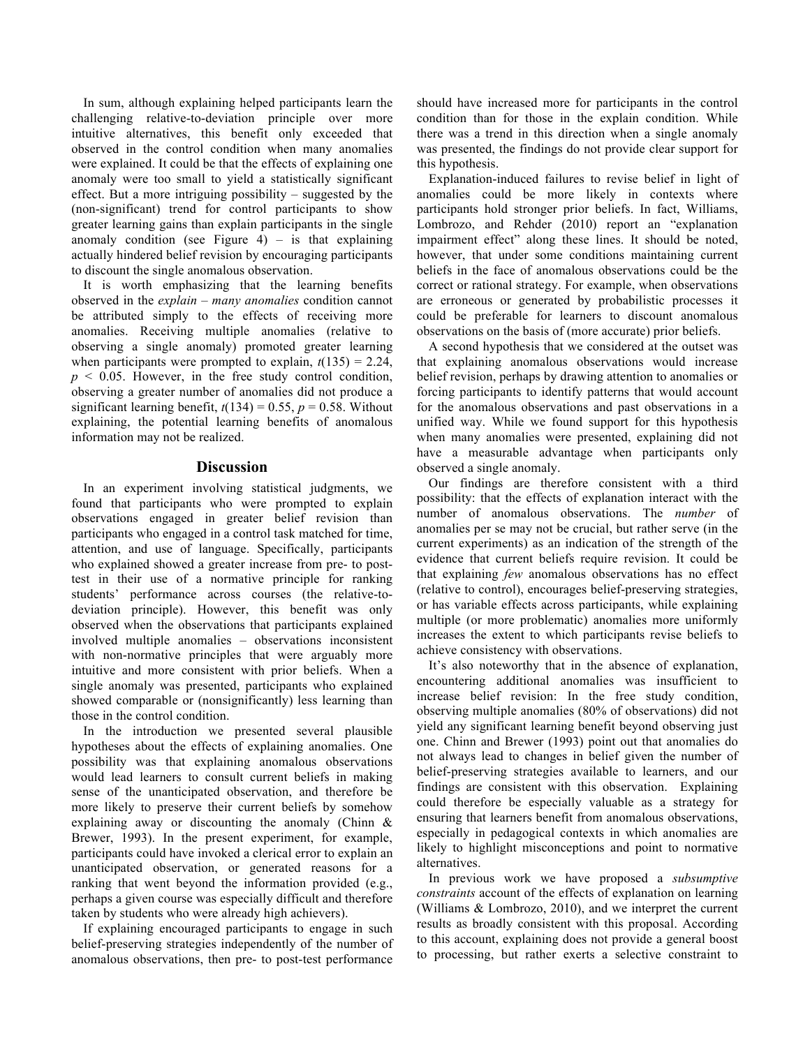In sum, although explaining helped participants learn the challenging relative-to-deviation principle over more intuitive alternatives, this benefit only exceeded that observed in the control condition when many anomalies were explained. It could be that the effects of explaining one anomaly were too small to yield a statistically significant effect. But a more intriguing possibility – suggested by the (non-significant) trend for control participants to show greater learning gains than explain participants in the single anomaly condition (see Figure 4) – is that explaining actually hindered belief revision by encouraging participants to discount the single anomalous observation.

It is worth emphasizing that the learning benefits observed in the *explain – many anomalies* condition cannot be attributed simply to the effects of receiving more anomalies. Receiving multiple anomalies (relative to observing a single anomaly) promoted greater learning when participants were prompted to explain,  $t(135) = 2.24$ ,  $p \leq 0.05$ . However, in the free study control condition, observing a greater number of anomalies did not produce a significant learning benefit,  $t(134) = 0.55$ ,  $p = 0.58$ . Without explaining, the potential learning benefits of anomalous information may not be realized.

# **Discussion**

In an experiment involving statistical judgments, we found that participants who were prompted to explain observations engaged in greater belief revision than participants who engaged in a control task matched for time, attention, and use of language. Specifically, participants who explained showed a greater increase from pre- to posttest in their use of a normative principle for ranking students' performance across courses (the relative-todeviation principle). However, this benefit was only observed when the observations that participants explained involved multiple anomalies – observations inconsistent with non-normative principles that were arguably more intuitive and more consistent with prior beliefs. When a single anomaly was presented, participants who explained showed comparable or (nonsignificantly) less learning than those in the control condition.

In the introduction we presented several plausible hypotheses about the effects of explaining anomalies. One possibility was that explaining anomalous observations would lead learners to consult current beliefs in making sense of the unanticipated observation, and therefore be more likely to preserve their current beliefs by somehow explaining away or discounting the anomaly (Chinn & Brewer, 1993). In the present experiment, for example, participants could have invoked a clerical error to explain an unanticipated observation, or generated reasons for a ranking that went beyond the information provided (e.g., perhaps a given course was especially difficult and therefore taken by students who were already high achievers).

If explaining encouraged participants to engage in such belief-preserving strategies independently of the number of anomalous observations, then pre- to post-test performance

should have increased more for participants in the control condition than for those in the explain condition. While there was a trend in this direction when a single anomaly was presented, the findings do not provide clear support for this hypothesis.

Explanation-induced failures to revise belief in light of anomalies could be more likely in contexts where participants hold stronger prior beliefs. In fact, Williams, Lombrozo, and Rehder (2010) report an "explanation impairment effect" along these lines. It should be noted, however, that under some conditions maintaining current beliefs in the face of anomalous observations could be the correct or rational strategy. For example, when observations are erroneous or generated by probabilistic processes it could be preferable for learners to discount anomalous observations on the basis of (more accurate) prior beliefs.

A second hypothesis that we considered at the outset was that explaining anomalous observations would increase belief revision, perhaps by drawing attention to anomalies or forcing participants to identify patterns that would account for the anomalous observations and past observations in a unified way. While we found support for this hypothesis when many anomalies were presented, explaining did not have a measurable advantage when participants only observed a single anomaly.

Our findings are therefore consistent with a third possibility: that the effects of explanation interact with the number of anomalous observations. The *number* of anomalies per se may not be crucial, but rather serve (in the current experiments) as an indication of the strength of the evidence that current beliefs require revision. It could be that explaining *few* anomalous observations has no effect (relative to control), encourages belief-preserving strategies, or has variable effects across participants, while explaining multiple (or more problematic) anomalies more uniformly increases the extent to which participants revise beliefs to achieve consistency with observations.

It's also noteworthy that in the absence of explanation, encountering additional anomalies was insufficient to increase belief revision: In the free study condition, observing multiple anomalies (80% of observations) did not yield any significant learning benefit beyond observing just one. Chinn and Brewer (1993) point out that anomalies do not always lead to changes in belief given the number of belief-preserving strategies available to learners, and our findings are consistent with this observation. Explaining could therefore be especially valuable as a strategy for ensuring that learners benefit from anomalous observations, especially in pedagogical contexts in which anomalies are likely to highlight misconceptions and point to normative alternatives.

In previous work we have proposed a *subsumptive constraints* account of the effects of explanation on learning (Williams & Lombrozo, 2010), and we interpret the current results as broadly consistent with this proposal. According to this account, explaining does not provide a general boost to processing, but rather exerts a selective constraint to